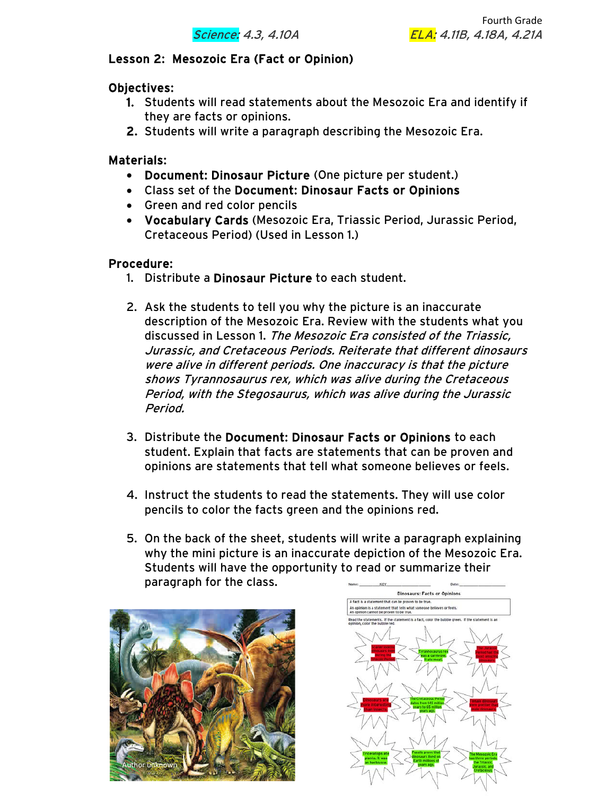

## Lesson 2: Mesozoic Era (Fact or Opinion)

### Objectives:

- 1. Students will read statements about the Mesozoic Era and identify if they are facts or opinions.
- 2. Students will write a paragraph describing the Mesozoic Era.

### Materials:

- Document: Dinosaur Picture (One picture per student.)
- Class set of the Document: Dinosaur Facts or Opinions
- Green and red color pencils
- Vocabulary Cards (Mesozoic Era, Triassic Period, Jurassic Period, Cretaceous Period) (Used in Lesson 1.)

### Procedure:

- 1. Distribute a Dinosaur Picture to each student.
- 2. Ask the students to tell you why the picture is an inaccurate description of the Mesozoic Era. Review with the students what you discussed in Lesson 1. The Mesozoic Era consisted of the Triassic, Jurassic, and Cretaceous Periods. Reiterate that different dinosaurs were alive in different periods. One inaccuracy is that the picture shows Tyrannosaurus rex, which was alive during the Cretaceous Period, with the Stegosaurus, which was alive during the Jurassic Period.
- 3. Distribute the Document: Dinosaur Facts or Opinions to each student. Explain that facts are statements that can be proven and opinions are statements that tell what someone believes or feels.
- 4. Instruct the students to read the statements. They will use color pencils to color the facts green and the opinions red.
- 5. On the back of the sheet, students will write a paragraph explaining why the mini picture is an inaccurate depiction of the Mesozoic Era. Students will have the opportunity to read or summarize their paragraph for the class.